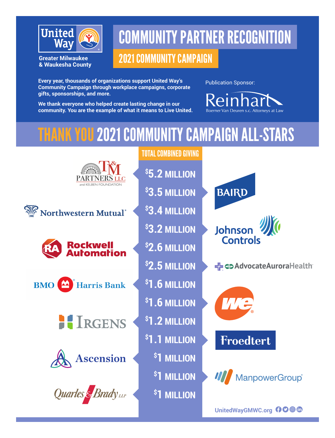

**Greater Milwaukee** & Waukesha County

# COMMUNITY PARTNER RECOGNITION

# 2021 COMMUNITY CAMPAIGN

**Every year, thousands of organizations support United Way's Community Campaign through workplace campaigns, corporate gifts, sponsorships, and more.** 

Publication Sponsor:

**We thank everyone who helped create lasting change in our community. You are the example of what it means to Live United.**  Boerner Van Deuren s.c. Attorneys at Law

# THANK YOU 2021 COMMUNITY CAMPAIGN ALL-STARS

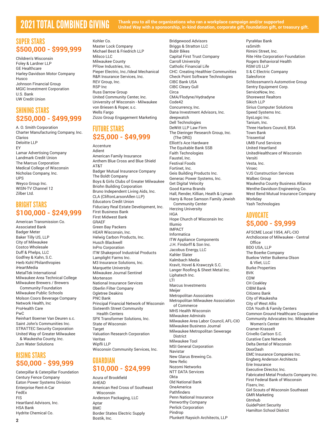2021 TOTAL COMBINED GIVING **Thank you to all the organizations who ran a workplace campaign and/or supported United Way with a sponsorship, in-kind donation, corporate gift, foundation gift, or treasury gift.**

#### SUPER STARS **\$500,000 - \$999,999**

Children's Wisconsin Foley & Lardner LLP GE Healthcare Harley-Davidson Motor Company Husco Johnson Financial Group MGIC Investment Corporation U.S. Bank UW Credit Union

#### SHINING STARS **\$250,000 - \$499,999**

A. O. Smith Corporation Charter Manufacturing Company, Inc. Clarios Deloitte LLP EY Lamar Advertising Company Landmark Credit Union The Marcus Corporation Medical College of Wisconsin Nicholas Company, Inc. UPS Weyco Group Inc. WISN-TV Channel 12 Zilber Ltd.

#### BRIGHT STARS **\$100,000 - \$249,999**

American Transmission Co. Associated Bank Badger Meter Baker Tilly US, LLP City of Milwaukee Costco Wholesale Duff & Phelps, LLC Godfrey & Kahn, S.C. Herb Kohl Philanthropies iHeartMedia MetalTek International Milwaukee Area Technical College Milwaukee Brewers / Brewers Community Foundation Milwaukee Public Schools Molson Coors Beverage Company Network Health, Inc ProHealth Care PwC Reinhart Boerner Van Deuren s.c. Saint John's Communities Inc. STRATTEC Security Corporation United Way of Greater Milwaukee & Waukesha County, Inc. Zurn Water Solutions

#### RISING STARS **\$50,000 - \$99,999**

Caterpillar & Caterpillar Foundation Century Fence Company Eaton Power Systems Division Enterprise Rent-A-Car FedEx FIS Heartland Advisors, Inc. HSA Bank Hydrite Chemical Co.

Kohler Co. Master Lock Company Michael Best & Friedrich LLP Milsco LLC Milwaukee County PFlow Industries, Inc. Pieper Electric, Inc./Ideal Mechanical R&R Insurance Services, Inc. REV Group, Inc. RSP Inc Russ Darrow Group United Community Center, Inc. University of Wisconsin - Milwaukee von Briesen & Roper, s.c. Wells Fargo Zizzo Group Engagement Marketing

### FUTURE STARS **\$25,000 - \$49,999**

Accenture Adient American Family Insurance Anthem Blue Cross and Blue Shield AT&T Badger Mutual Insurance Company The Boldt Company Boys & Girls Clubs of Greater Milwaukee Briohn Building Corporation Bruno Independent Living Aids, Inc. CLA (CliftonLarsonAllen LLP) Educators Credit Union Fiduciary Real Estate Development, Inc. First Business Bank First Midwest Bank GRAEF Green Bay Packers HEAR Wisconsin, Inc. Helwig Carbon Products, Inc. Husch Blackwell InPro Corporation ITW Shakeproof Industrial Products Lamplight Farms Inc. M3 Insurance Solutions, Inc. Marquette University Milwaukee Journal Sentinel Mortenson National Insurance Services Oberlin Filter Company Ogletree Deakins PNC Bank Principal Financial Network of Wisconsin Sixteenth Street Community Health Centers SPX Transformer Solutions, Inc. State of Wisconsin **Target** Valuation Research Corporation Veritas Wipfli LLP Wisconsin Community Services, Inc.

#### GUARDIAN **\$10,000 - \$24,999**

Acura of Brookfield AHEAD American Red Cross of Southeast Wisconsin Anderson Packaging, LLC Aptar BMC Border States Electric Supply Bostik, Inc.

Bridgewood Advisors Briggs & Stratton LLC Bublr Bikes Capital First Trust Company Carroll University Catholic Financial Life CHC: Creating Healthier Communities Check Point Software Technologies CIBC Bank USA CIBC Cleary Gull Circa CMA/Flodyne/Hydradyne Code42 Concurrency, Inc. Dana Investment Advisors, Inc. deepwatch Dell Technologies DeWitt LLP Law Firm The Dieringer Research Group, Inc. (The DRG) Elliott's Ace Hardware The Equitable Bank SSB Faith Technologies Faustel, Inc. Festival Foods Fortinet, Inc. Geis Building Products Inc. Generac Power Systems, Inc. Get Digital Velocity Good Karma Brands Hall, Render, Killian, Heath & Lyman Harry & Rose Samson Family Jewish Community Center Herzing University HGA Hope Church of Wisconsin Inc Illumio IMPACT Informatica ITW Appliance Components J.H. Findorff & Son Inc. Jacobus Energy, LLC Kahler Slater Kalmbach Media Kravit, Hovel & Krawczyk S.C. Langer Roofing & Sheet Metal Inc. Liphatech Inc. LTI Marcus Investments Meijer Metropolitan Associates Metropolitan Milwaukee Association of Commerce MHS Health Wisconsin Milwaukee Admirals Milwaukee Area Labor Council, AFL-CIO Milwaukee Business Journal Milwaukee Metropolitan Sewerage District Milwaukee Tool MSI General Corporation Navistar New Glarus Brewing Co.

New Relic

**Okta** 

Pindrop

Nozomi Networks NTT DATA Services

Old National Bank OneAmerica Pathfinders

Penn National Insurance Penworthy Company Perlick Corporation

Plunkett Raysich Architects, LLP

PyraMax Bank raSmith Rimini Street, Inc. Rite Hite Corporation Foundation Rogers Behavioral Health RSM US LLP S & C Electric Company Salesforce Schlossmann's Automotive Group Sentry Equipment Corp. ServiceNow, Inc. Shorewest Realtors Sikich LLP Sirius Computer Solutions Speed Systems Inc. SysLogic Inc. Tanium, Inc. Three Harbors Council, BSA Town Bank **Trissential** UMB Fund Services United Heartland UnitedHealthcare of Wisconsin Versiti Vesta, Inc. Virsec VJS Construction Services Walbec Group Waukesha County Business Alliance Wenthe-Davidson Engineering Co. West Bend Mutual Insurance Company Workday

Yash Technologies

#### ADVOCATE **\$5,000 - \$9,999**

AFSCME Local 1954, AFL-CIO Archdiocese of Milwaukee - Central **Office** BDO USA, LLP The Boerke Company Buelow Vetter Buikema Olson & Vliet, LLC Burke Properties BVK **CDW** CH Coakley CIBM Bank Citizens Bank City of Waukesha City of West Allis COA Youth & Family Centers Common Ground Healthcare Cooperative Community Advocates Inc. Milwaukee Women's Center Cramer-Krasselt Crivello Carlson S.C. Curative Care Network Delta Dental of Wisconsin DoorDash EMC Insurance Companies Inc. Engberg Anderson Architects Erie Insurance Executive Director, Inc. Fabricated Metal Products Company Inc. First Federal Bank of Wisconsin Fisery, Inc. Girl Scouts of Wisconsin Southeast GMR Marketing Gtmhub GuidePoint Security Hamilton School District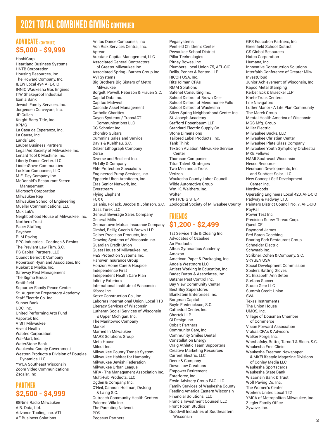## **2021 TOTAL COMBINED GIVING CONTINUED**

#### ADVOCATE (CONTINUED) **\$5,000 - \$9,999**

**HashiCorp** Heartland Business Systems HNTB Corporation Housing Resources, Inc. The Howard Company, Inc. IBEW Local 494 AFL-CIO INNIO Waukesha Gas Engines ITW Shakeproof Industrial Ixonia Bank Jewish Family Services, Inc. Jorgensen Conveyors, Inc. JP Cullen Knight-Barry Title, Inc. KPMG La Casa de Esperanza, Inc. La Causa, Inc. Lands' End Lauber Business Partners Legal Aid Society of Milwaukee Inc. Lenard Tool & Machine, Inc. Liberty Dance Center, LLC LindenGrove Communities Lockton Companies, LLC M.E. Dey Company Inc. McDonald's Restaurant-Steren Management Microsoft Corporation Milwaukee Rep Milwaukee School of Engineering Mueller Communications, LLC Muk Luk's Neighborhood House of Milwaukee, Inc. Northern Trust Pacer Staffing Paychex PLM Paving PPG Industries - Coatings & Resins The Previant Law Firm, S.C. PS Capital Partners, LLC Quandt Berndt & Company Robertson Ryan and Associates, Inc. Ruekert & Mielke, Inc. Safeway Pest Management The Sigma Group **Smithfield** Sojourner Family Peace Center St. Augustine Preparatory Academy Staff Electric Co. Inc. Sunset Bank UDC, Inc. United Performing Arts Fund Vaportek Inc. VISIT Milwaukee Vivent Health Wabtec Corporation Wal-Mart, Inc. WaterStone Bank Waukesha County Government Western Products a Division of Douglas Dynamics LLC YWCA Southeast Wisconsin Zoom Video Communications Zscaler, Inc

#### PARTNER **\$2,500 - \$4,999**

88Nine Radio Milwaukee A.B. Data, Ltd. Advance Tooling, Inc. ATI AE Business Solutions

Anitas Dance Companies, Inc Aon Risk Services Central, Inc. Antean Arcataur Capital Management, LLC Associated General Contractors of Greater Milwaukee Inc. Associated Spring - Barnes Group Inc. AVI Systems Big Brothers Big Sisters of Metro Milwaukee Borgelt, Powell, Peterson & Frauen S.C. Capital Data Inc. Capitas Midwest Cascade Asset Management Catholic Charities Cayen Systems / TransACT Communications LLC CG Schmidt Inc. Chondro Guitars Cummins Sales and Service Davis & Kuelthau, S.C. Delzer Lithograph Company Derse Diverse and Resilient Inc. Eli Lilly & Company Elite Protection Specialists Engineered Pump Services, Inc. Eppstein Uhen Architects, Inc. Eras Senior Network, Inc. Everstream Flying Elephant FOX 6 Galanis, Pollack, Jacobs & Johnson, S.C. Gass Turek LLC General Beverage Sales Company General Mills Germantown Mutual Insurance Company Gimbel, Reilly, Guerin & Brown LLP Golner Precision Products, Inc. Growing Systems of Wisconsin Inc. Guardian Credit Union Guest House of Milwaukee Inc. H&S Protection Systems Inc. Hanover Insurance Group Horizon Home Care & Hospice Independence First Independent Health Care Plan Infinity Exteriors International Institute of Wisconsin Kforce Inc. Kotze Construction Co., Inc. Laborers International Union, Local 113 Literacy Services of Wisconsin Lutheran Social Services of Wisconsin & Upper Michigan, Inc. The Manitowoc Company Markel Married In Milwaukee MARS Solutions Group Meta House Milcut Inc. Milwaukee County Transit System Milwaukee Habitat for Humanity Milwaukee Jewish Federation Milwaukee Urban League MRA - The Management Association Inc. Multi-Fab Products, LLC Ogden & Company, Inc. O'Neil, Cannon, Hollman, DeJong

& Laing S.C. Outreach Community Health Centers Palermo Villa Inc. The Parenting Network PDS Pegasus Partners

Pewaukee School District Pillar Technologies Pitney Bowes, Inc Plumbers Local Union 75, AFL-CIO Reilly, Penner & Benton LLP RICOH USA, Inc. RitzHolman CPAs RMM Solutions Safenet Consulting Inc. School District of Brown Deer School District of Menomonee Falls School District of Waukesha Silver Spring Neighborhood Center Inc. St. Joseph Academy Stafford Rosenbaum LLP Standard Electric Supply Co. Stone Dimensions Tailored Label Products, Inc. Tank Think Textron Aviation Milwaukee Service Center Thomson Companies Titus Talent Strategies Two Men and a Truck Verizon Waukesha County Labor Council Wilde Automotive Group Wm. K. Walthers, Inc. **Wolter** WRTP/BIG STEP Zoological Society of Milwaukee County

Pegasystems

Penfield Children's Center

#### FRIENDS **\$1,200 - \$2,499**

1st Service Title & Closing Inc. Advocates of Ozaukee Air Products Altius Gymnastics Academy Amazon American Paper & Packaging, Inc. Angela Westmore LLC Artists Working in Education, Inc. Bader, Rutter & Associates, Inc. Batzner Pest Control Inc. Bay View Community Center Best Buy Superstores Blankstein Enterprises Inc. Borgman Capital Boyle Frederickson, S.C. Cathedral Center, Inc. Chortek LLP CI Design Inc. Cobalt Partners Community Care, Inc. Community Smiles Dental Constellation Energy Craig Athletic Team Supporters Creative Marketing Resources Current Electric, LLC Deere & Company Down Low Creations Empower Retirement Enterforce, Inc. Erwin Advisory Group EAG LLC Family Services of Waukesha County Feeding America Eastern Wisconsin Financial Solutions, LLC Francis Investment Counsel LLC Front Room Studios Goodwill Industries of Southeastern Wisconsin

GPS Education Partners, Inc. Greenfield School District GS Global Resources Hatco Corporation Humana, Inc. Innovative Construction Solutions Interfaith Conference of Greater Milw. InvestCloud Junior Achievement of Wisconsin, Inc. Kapco Metal Stamping Kerber, Eck & Braeckel LLP Kriete Truck Centers Life Navigators Luther Manor - A Life Plan Community The Marek Group Mental Health America of Wisconsin MGS Mfg. Group Miller Electric Milwaukee Bucks, LLC Milwaukee Christian Center Milwaukee Plate Glass Company Milwaukee Youth Symphony Orchestra MKE Fellows NAMI Southeast Wisconsin Nescu Resource Neumann Developments, Inc. and SunVest Solar, LLC New Concept Self Development Center, Inc. **Northwoods** Operating Engineers Local 420, AFL-CIO Padway & Padway, LTD. Painters District Council No. 7, AFL-CIO PayPal Power Test Inc. Precision Screw Thread Corp. Quest CE Raymond James Red Baron Coaching Roaring Fork Restaurant Group Schneider Electric Schwaab Inc. Scribner, Cohen & Company, S.C. SKYGEN USA Social Development Commission Spiderz Batting Gloves St. Elizabeth Ann Seton Stefans Soccer Studio Gear LLC Summit Credit Union SVA Texas Instruments The Union House UMOS, Inc. Village of Dousman Chamber of Commerce Vision Forward Association Vrakas CPAs & Advisors Walker Forge, Inc. Warshafsky, Rotter, Tarnoff & Bloch, S.C. Waukesha Free Clinic Waukesha Freeman Newspaper & MKELifestyle Magazine Divisions of Conley Media LLC Waukesha Sportscards Waukesha State Bank Wisconsin Bank & Trust Wolf Paving Co. Inc. The Women's Center Workers United Local 122 YMCA of Metropolitan Milwaukee, Inc. Ziegler Family Office Zywave, Inc.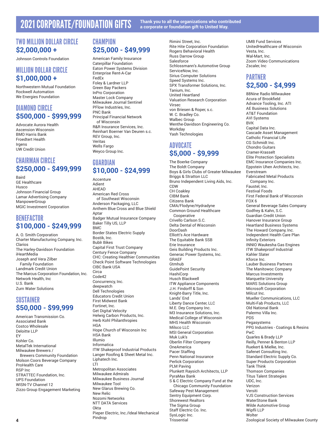## 2021 CORPORATE/FOUNDATION GIFTS **Thank you to all the organizations who contributed**

### **a corporate or foundation gift to United Way.**

#### TWO MILLION DOLLAR CIRCLE **\$2,000,000 +**

Johnson Controls Foundation

#### MILLION DOLLAR CIRCLE **\$1,000,000 +**

Northwestern Mutual Foundation Rockwell Automation We Energies Foundation

#### DIAMOND CIRCLE **\$500,000 - \$999,999**

Advocate Aurora Health Ascension Wisconsin BMO Harris Bank Froedtert Health Irgens UW Credit Union

### CHAIRMAN CIRCLE **\$250,000 - \$499,999**

Baird GE Healthcare Husco Johnson Financial Group Lamar Advertising Company ManpowerGroup MGIC Investment Corporation

#### BENEFACTOR **\$100,000 - \$249,999**

A. O. Smith Corporation Charter Manufacturing Company, Inc. Clarios The Harley-Davidson Foundation iHeartMedia Joseph and Vera Zilber Family Foundation Landmark Credit Union The Marcus Corporation Foundation, Inc. Network Health, Inc U.S. Bank Zurn Water Solutions

#### SUSTAINER **\$50,000 - \$99,999**

American Transmission Co. Associated Bank Costco Wholesale Deloitte LLP EY Kohler Co. MetalTek International Milwaukee Brewers / Brewers Community Foundation Molson Coors Beverage Company ProHealth Care RSP Inc STRATTEC Foundation, Inc. UPS Foundation WISN-TV Channel 12 Zizzo Group Engagement Marketing

### **CHAMPION \$25,000 - \$49,999**

American Family Insurance Caterpillar Foundation Eaton Power Systems Division Enterprise Rent-A-Car FedEx Foley & Lardner LLP Green Bay Packers InPro Corporation Master Lock Company Milwaukee Journal Sentinel PFlow Industries, Inc. PNC Bank Principal Financial Network of Wisconsin R&R Insurance Services, Inc. Reinhart Boerner Van Deuren s.c. REV Group, Inc. Veritas Wells Fargo Weyco Group Inc.

#### GUARDIAN **\$10,000 - \$24,999**

Accenture Adient AHEAD American Red Cross of Southeast Wisconsin Anderson Packaging, LLC Anthem Blue Cross and Blue Shield Aptar Badger Mutual Insurance Company Baker Tilly US, LLP BMC Border States Electric Supply Bostik, Inc. Bublr Bikes Capital First Trust Company Century Fence Company CHC: Creating Healthier Communities Check Point Software Technologies CIBC Bank USA **Circa** Code42 Concurrency, Inc. deepwatch Dell Technologies Educators Credit Union First Midwest Bank Fortinet, Inc. Get Digital Velocity Helwig Carbon Products, Inc. Herb Kohl Philanthropies **HGA** Hope Church of Wisconsin Inc HSA Bank Illumio Informatica ITW Shakeproof Industrial Products Langer Roofing & Sheet Metal Inc. Liphatech Inc. LTI Metropolitan Associates Milwaukee Admirals Milwaukee Business Journal Milwaukee Tool New Glarus Brewing Co. New Relic Nozomi Networks NTT DATA Services **Okta** Pieper Electric, Inc./Ideal Mechanical Pindrop

Rimini Street, Inc. Rite Hite Corporation Foundation Rogers Behavioral Health Russ Darrow Group **Salesforce** Schlossmann's Automotive Group ServiceNow, Inc. Sirius Computer Solutions Speed Systems Inc. SPX Transformer Solutions, Inc. Tanium, Inc. United Heartland Valuation Research Corporation Virsec von Briesen & Roper, s.c. W. C. Bradley Co. Walbec Group Wenthe-Davidson Engineering Co. Workday Yash Technologies

#### ADVOCATE **\$5,000 - \$9,999**

The Boerke Company The Boldt Company Boys & Girls Clubs of Greater Milwaukee Briggs & Stratton LLC Bruno Independent Living Aids, Inc. CDW CH Coakley CIBM Bank Citizens Bank CMA/Flodyne/Hydradyne Common Ground Healthcare Cooperative Crivello Carlson S.C. Delta Dental of Wisconsin DoorDash Elliott's Ace Hardware The Equitable Bank SSB Erie Insurance Geis Building Products Inc. Generac Power Systems, Inc. GRAEF Gtmhub GuidePoint Security **HashiCorp** Husch Blackwell ITW Appliance Components J.H. Findorff & Son Knight-Barry Title, Inc. Lands' End Liberty Dance Center, LLC M.E. Dey Company Inc. M3 Insurance Solutions, Inc. Medical College of Wisconsin MHS Health Wisconsin Milsco LLC MSI General Corporation Muk Luk's Oberlin Filter Company OneAmerica Pacer Staffing Penn National Insurance Perlick Corporation PLM Paving Plunkett Raysich Architects, LLP PyraMax Bank S & C Electric Company Fund at the Chicago Community Foundation Safeway Pest Management Sentry Equipment Corp. Shorewest Realtors The Sigma Group Staff Electric Co. Inc. SysLogic Inc. **Trissential** 

UMB Fund Services UnitedHealthcare of Wisconsin Vesta, Inc. Wal-Mart, Inc. Zoom Video Communications Zscaler, Inc

#### PARTNER **\$2,500 - \$4,999**

88Nine Radio MIlwaukee Acura of Brookfield Advance Tooling, Inc. ATI AE Business Solutions AT&T Foundation AVI Systems BVK Capital Data Inc. Cascade Asset Management Catholic Financial Life CG Schmidt Inc. Chondro Guitars Cramer-Krasselt Elite Protection Specialists EMC Insurance Companies Inc. Eppstein Uhen Architects, Inc. Everstream Fabricated Metal Products Company Inc. Faustel, Inc. Festival Foods First Federal Bank of Wisconsin FOX 6 General Beverage Sales Company Godfrey & Kahn, S.C. Guardian Credit Union Hanover Insurance Group Heartland Business Systems The Howard Company, Inc. Independent Health Care Plan Infinity Exteriors INNIO Waukesha Gas Engines ITW Shakeproof Industrial Kahler Slater Kforce Inc. Lauber Business Partners The Manitowoc Company Marcus Investments Marquette University MARS Solutions Group Microsoft Corporation Milcut Inc. Mueller Communications, LLC Multi-Fab Products, LLC Old National Bank Palermo Villa Inc. PDS Pegasystems PPG Industries - Coatings & Resins PwC Quarles & Brady LLP Reilly, Penner & Benton LLP Ruekert & Mielke, Inc. Safenet Consulting Inc. Standard Electric Supply Co. Super Products Corporation Tank Think Thomson Companies Titus Talent Strategies UDC, Inc. Verizon Versiti VJS Construction Services WaterStone Bank Wilde Automotive Group Wipfli LLP **Wolter** 

Zoological Society of Milwaukee County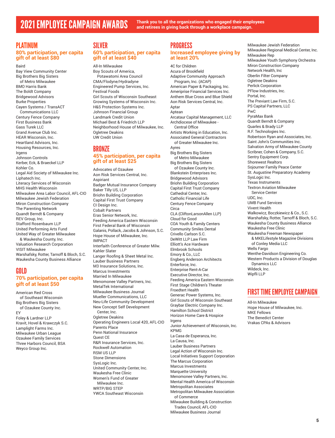2021 EMPLOYEE CAMPAIGN AWARDS **Thank you to all the organizations who engaged their employees and retirees in giving back through a workplace campaign.**

#### PLATINUM

#### **80% participation, per capita gift of at least \$80**

Baird Bay View Community Center Big Brothers Big Sisters of Metro Milwaukee BMO Harris Bank The Boldt Company Bridgewood Advisors Burke Properties Cayen Systems / TransACT Communications LLC Century Fence Company First Business Bank Gass Turek LLC Grand Avenue Club Inc. HEAR Wisconsin, Inc. Heartland Advisors, Inc. Housing Resources, Inc. Irgens Johnson Controls Kerber, Eck, & Braeckel LLP Kohler Co. Legal Aid Society of Milwaukee Inc. Liphatech Inc. Literacy Services of Wisconsin MHS Health Wisconsin Milwaukee Area Labor Council, AFL-CIO Milwaukee Jewish Federation Miron Construction Company The Parenting Network Quandt Berndt & Company REV Group, Inc. Stafford Rosenbaum LLP United Performing Arts Fund United Way of Greater Milwaukee & Waukesha County, Inc. Valuation Research Corporation VISIT Milwaukee Warshafsky, Rotter, Tarnoff & Bloch, S.C.

#### GOLD

#### **70% participation, per capita gift of at least \$50**

Waukesha County Business Alliance

American Red Cross of Southeast Wisconsin Big Brothers Big Sisters of Ozaukee County Inc. EY Foley & Lardner LLP Kravit, Hovel & Krawczyk S.C. Lamplight Farms Inc. Milwaukee Urban League Ozaukee Family Services Three Harbors Council, BSA Weyco Group Inc.

#### SILVER

#### **60% participation, per capita gift of at least \$40**

All-In Milwaukee Boy Scouts of America, Potawatomi Area Council CMA/Flodyne/Hydradyne Engineered Pump Services, Inc. Festival Foods Girl Scouts of Wisconsin Southeast Growing Systems of Wisconsin Inc. H&S Protection Systems Inc. Johnson Financial Group Landmark Credit Union Michael Best & Friedrich LLP Neighborhood House of Milwaukee, Inc. Ogletree Deakins UW Credit Union

#### BRONZE

#### **45% participation, per capita gift of at least \$25**

Advocates of Ozaukee Aon Risk Services Central, Inc. Aspiriant Badger Mutual Insurance Company Baker Tilly US, LLP Briohn Building Corporation Capital First Trust Company CI Design Inc. Cobalt Partners Eras Senior Network, Inc. Feeding America Eastern Wisconsin First Federal Bank of Wisconsin Galanis, Pollack, Jacobs & Johnson, S.C. Hope House of Milwaukee, Inc. IMPACT Interfaith Conference of Greater Milw. Kahler Slater Langer Roofing & Sheet Metal Inc. Lauber Business Partners M3 Insurance Solutions, Inc. Marcus Investments Married In Milwaukee Menomonee Valley Partners, Inc. MetalTek International Milwaukee Business Journal Mueller Communications, LLC Neu-Life Community Development New Concept Self Development Center, Inc. Ogletree Deakins Operating Engineers Local 420, AFL-CIO Parents Place Penn National Insurance Quest CE R&R Insurance Services, Inc. Rockwell Automation RSM US LLP Stone Dimensions SysLogic Inc. United Community Center, Inc. Waukesha Free Clinic Women's Fund of Greater Milwaukee Inc. WRTP/BIG STEP YWCA Southeast Wisconsin

### PROGRESS

4C for Children

#### **Increased employee giving by at least 20%**

Acura of Brookfield Adaptive Community Approach Program, Inc. (ACAP) American Paper & Packaging, Inc. Ameriprise Financial Services Inc. Anthem Blue Cross and Blue Shield Aon Risk Services Central, Inc. Aptar Aptean Arcataur Capital Management, LLC Archdiocese of Milwaukee - Central Office Artists Working in Education, Inc. Associated General Contractors of Greater Milwaukee Inc. Ayres Big Brothers Big Sisters of Metro Milwaukee Big Brothers Big Sisters of Ozaukee County Inc. Blankstein Enterprises Inc. Bridgewood Advisors Briohn Building Corporation Capital First Trust Company Cathedral Center, Inc. Catholic Financial Life Century Fence Company **Circa** CLA (CliftonLarsonAllen LLP) Cloud for Good COA Youth & Family Centers Community Smiles Dental Crivello Carlson S.C. DeWitt LLP Law Firm Elliott's Ace Hardware Elmbrook Schools Emory & Co., LLC Engberg Anderson Architects Enterforce, Inc. Enterprise Rent-A-Car Executive Director, Inc. Feeding America Eastern Wisconsin First Stage Children's Theater Froedtert Health Generac Power Systems, Inc. Girl Scouts of Wisconsin Southeast Graybar Electric Company Inc. Hamilton School District Horizon Home Care & Hospice Irgens Junior Achievement of Wisconsin, Inc. KPMG La Casa de Esperanza, Inc. La Causa, Inc. Lauber Business Partners Legal Action of Wisconsin Inc. Local Initiatives Support Corporation The Marcus Corporation Marcus Investments Marquette University Menomonee Valley Partners, Inc. Mental Health America of Wisconsin Metropolitan Associates Metropolitan Milwaukee Association of Commerce Milwaukee Building & Construction Trades Council, AFL-CIO Milwaukee Business Journal

Milwaukee Jewish Federation Milwaukee Regional Medical Center, Inc. Milwaukee Rep Milwaukee Youth Symphony Orchestra Miron Construction Company Network Health, Inc Oberlin Filter Company Ogletree Deakins Perlick Corporation PFlow Industries, Inc. Portal, Inc. The Previant Law Firm, S.C. PS Capital Partners, LLC PwC PyraMax Bank Quandt Berndt & Company Quarles & Brady LLP R.F. Technologies Inc. Robertson Ryan and Associates, Inc. Saint John's Communities Inc. Salvation Army of Milwaukee County Scribner, Cohen & Company, S.C. Sentry Equipment Corp. Shorewest Realtors Sojourner Family Peace Center St. Augustine Preparatory Academy SysLogic Inc. Texas Instruments Textron Aviation Milwaukee Service Center UDC, Inc. UMB Fund Services Vivent Health Walkowicz, Boczkiewicz & Co., S.C. Warshafsky, Rotter, Tarnoff & Bloch, S.C. Waukesha County Business Alliance Waukesha Free Clinic Waukesha Freeman Newspaper & MKELifestyle Magazine Divisions of Conley Media LLC Wells Fargo Wenthe-Davidson Engineering Co. Western Products a Division of Douglas Dynamics LLC Wildeck, Inc. Wipfli LLP

#### FIRST TIME EMPLOYEE CAMPAIGN

All-In Milwaukee Hope House of Milwaukee, Inc. MKE Fellows The Benedict Center Vrakas CPAs & Advisors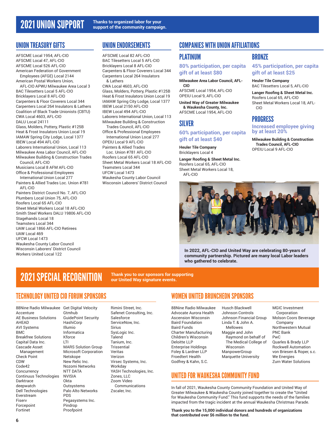#### UNION TREASURY GIFTS

AFSCME Local 1954, AFL-CIO AFSCME Local 47, AFL-CIO AFSCME Local 526 AFL-CIO American Federation of Government Employees (AFGE) Local 2144 American Postal Workers Union, AFL-CIO APWU Milwaukee Area Local 3 BAC Tilesetters Local 5 AFL-CIO Bricklayers Local 8 AFL-CIO Carpenters & Floor Coverers Local 344 Carpenters Local 264 Insulators & Lathers Coalition of Black Trade Unionists (CBTU) CWA Local 4603, AFL-CIO DALU Local 24111 Glass, Molders, Pottery, Plastic #125B Heat & Frost Insulators Union Local 19 IAMAW Spring City Lodge, Local 1377 IBEW Local 494 AFL-CIO Laborers International Union, Local 113 Milwaukee Area Labor Council, AFL-CIO Milwaukee Building & Construction Trades Council, AFL-CIO Musicians Local 8 AFM AFL-CIO Office & Professional Employees International Union Local 277 Painters & Allied Trades Loc. Union #781 AFL-CIO Painters District Council No. 7, AFL-CIO Plumbers Local Union 75, AFL-CIO Roofers Local 65 AFL-CIO Sheet Metal Workers Local 18 AFL-CIO Smith Steel Workers DALU 19806 AFL-CIO Stagehands Local 18 Teamsters Local 344 UAW Local 1866 AFL-CIO Retirees UAW Local 469 UFCW Local 1473 Waukesha County Labor Council Wisconsin Laborers' District Council

#### UNION ENDORSEMENTS

AFSCME Local 82 AFL-CIO BAC Tilesetters Local 5 AFL-CIO Bricklayers Local 8 AFL-CIO Carpenters & Floor Coverers Local 344 Carpenters Local 264 Insulators & Lathers CWA Local 4603, AFL-CIO Glass, Molders, Pottery, Plastic #125B Heat & Frost Insulators Union Local 19 IAMAW Spring City Lodge, Local 1377 IBEW Local 2150 AFL-CIO IBEW Local 494 AFL-CIO Laborers International Union, Local 113 Milwaukee Building & Construction Trades Council, AFL-CIO Office & Professional Employees International Union Local 277 OPEIU Local 9 AFL-CIO Painters & Allied Trades Loc. Union #781 AFL-CIO Roofers Local 65 AFL-CIO Sheet Metal Workers Local 18 AFL-CIO Teamsters Local 344 UFCW Local 1473 Waukesha County Labor Council

Wisconsin Laborers' District Council

### COMPANIES WITH UNION AFFILIATIONS

#### PLATINUM

**80% participation, per capita gift of at least \$80**

**Milwaukee Area Labor Council, AFL-CIO** AFSCME Local 1954, AFL-CIO

OPEIU Local 9, AFL-CIO **United Way of Greater Milwaukee** 

**& Waukesha County, Inc.** AFSCME Local 1954, AFL-CIO

#### SILVER

**60% participation, per capita gift of at least \$40**

**Heuler Tile Company** Bricklayers Local 4

**Langer Roofing & Sheet Metal Inc.** Roofers Local 65, AFL-CIO Sheet Metal Workers Local 18, AFL-CIO

**BRONZE** 

**45% participation, per capita gift of at least \$25**

**Heuler Tile Company** BAC Tilesetters Local 5, AFL-CIO

**Langer Roofing & Sheet Metal Inc.** Roofers Local 65, AFL-CIO Sheet Metal Workers Local 18, AFL-CIO

#### PROGRESS

**Increased employee giving by at least 20%**

**Milwaukee Building & Construction Trades Council, AFL-CIO** OPEIU Local 9 AFL-CIO



**In 2022, AFL-CIO and United Way are celebrating 80-years of community partnership. Pictured are many local Labor leaders who gathered to celebrate.**

# 2021 SPECIAL RECOGNITION **Thank you to our sponsors for supporting**

**our United Way signature events.**

#### TECHNOLOGY UNITED CIO FORUM SPONSORS

88Nine Radio Milwaukee Get Digital Velocity Accenture AE Business Solutions AHEAD AVI Systems BMC Breakfree Solutions Capital Data Inc. Cascade Asset Management Check Point CDW Code42 **Concurrency** Continuus Technologies Darktrace deepwatch Dell Technologies Everstream Fiserv Forcepoint Fortinet

Workers United Local 122

Gtmhub GuidePoint Security HashiCorp Illumio Informatica Kforce LTI MARS Solution Group Microsoft Corporation Netskope New Relic Inc. Nozomi Networks NTT DATA NVISIA **Okta Outsystems** Palo Alto Networks PDS Pegasystems Inc. Pindrop Proofpoint

Rimini Street, Inc. Safenet Consulting, Inc. Salesforce ServiceNow, Inc. Sirius SysLogic Inc. **Talend** Tanium, Inc. **Trissential** Veritas Verizon Virsec Systems, Inc. Workday YASH Technologies, Inc. Zones, LLC Zoom Video Communications Zscaler, Inc.

#### WOMEN UNITED BRUNCHEON SPONSORS

88Nine Radio Milwaukee Advocate Aurora Health Ascension Wisconsin Baird Foundation Baird Funds Charter Manufacturing Children's Wisconsin Deloitte LLP Enterprise Holdings Foley & Lardner LLP Froedtert Health Godfrey & Kahn, S.C.

Husch Blackwell Johnson Controls Johnson Financial Group Linda T. & John A. Mellowes Maggie and John Raymond on behalf of The Medical College of Wisconsin ManpowerGroup Marquette University

#### MGIC Investment Corporation Molson Coors Beverage Company Northwestern Mutual PNC Bank PwC Quarles & Brady LLP Rockwell Automation von Briesen & Roper, s.c. We Energies Zurn Water Solutions

### UNITED FOR WAUKESHA COMMUNITY FUND

In fall of 2021, Waukesha County Community Foundation and United Way of Greater Milwaukee & Waukesha County joined together to create the "United for Waukesha Community Fund." This fund supports the needs of the families impacted from the tragic incident at the annual Waukesha Christmas Parade.

**Thank you to the 15,000 individual donors and hundreds of organizations that contributed over \$6 million to the fund.**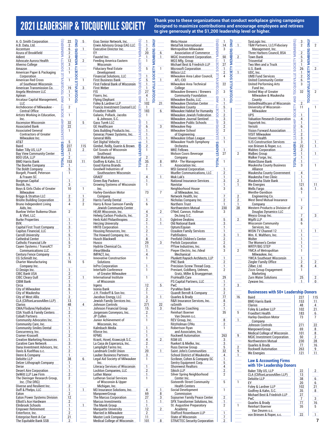5  $\overline{1}$ 

 $\overline{2}$ 

1  $\overline{3}$ 

**TOCQUEVILLE SOCIETY MEMBERS ONLY**

TOCQUEVILLE SOCIETY MEMBERS ONLY

5

115 2

11

1

1 2 2

5

 $\overline{1}$ 

4

6

1

 $\overline{1}$ 

2021 LEADERSHIP & TOCQUEVILLE SOCIETY **Thank you to these organizations that conduct workplace giving campaigns designed to maximize contributions and encourage employees and retirees to give generously at the \$1,200 leadership level or higher.**

 $\overline{\phantom{a}}$ 

1

1

÷ 

**TOCQUEVILLE SOCIETY MEMBERS ONLY**

| A. O. Smith Corporation             |         | 22             |
|-------------------------------------|---------|----------------|
| A.B. Data, Ltd.                     |         | $\overline{2}$ |
| Accenture                           |         | 6              |
| <b>Acura of Brookfield</b>          |         | $\overline{2}$ |
|                                     |         |                |
| Adient                              |         | $\overline{2}$ |
| Advocate Aurora Health              |         | 12             |
| Alverno College                     |         | 3              |
| Amazon                              |         | 1              |
| American Paper & Packaging          |         | 1              |
| Corporation                         |         |                |
| American Red Cross                  |         | 1              |
| of Southeast Wisconsin              |         |                |
| American Transmission Co.           |         | 19             |
| Angela Westmore LLC                 |         | 1              |
|                                     |         |                |
| Aptean                              |         | 1              |
| Arcataur Capital Management,        |         | 1              |
| LLC                                 |         |                |
| <b>Archdiocese of Milwaukee -</b>   | SOCIETY | 2              |
| <b>Central Office</b>               |         |                |
| Artists Working in Education,       |         | 1              |
| lnc.                                |         |                |
| <b>Ascension Wisconsin</b>          |         | 32             |
| Associated Bank                     |         | 22             |
| Associated General                  |         | 1              |
|                                     |         |                |
| <b>Contractors of Greater</b>       |         |                |
| Milwaukee Inc.                      |         |                |
| AT&T                                |         | 5              |
| Baird                               |         | 227            |
| Baker Tilly US, LLP                 |         | 22             |
| <b>Bay View Community Center</b>    |         | 1              |
| <b>BDO USA, LLP</b>                 |         | $\overline{2}$ |
| <b>BMO Harris Bank</b>              |         | 153            |
| The Boerke Company                  |         | 1              |
|                                     |         |                |
| The Boldt Company                   |         | 5              |
| Borgelt, Powell, Peterson           |         | 1              |
| & Frauen SC                         |         |                |
| Borgman Capital                     |         | 1              |
| Bostik, Inc.                        |         | 3              |
| Boys & Girls Clubs of Greater       |         | 10             |
| Milwaukee                           |         |                |
| <b>Briggs &amp; Stratton LLC</b>    |         | $\overline{2}$ |
| <b>Briohn Building Corporation</b>  |         | 3              |
|                                     |         | 4              |
| Bruno Independent Living            |         |                |
| Aids, Inc.                          |         |                |
| <b>Buelow Vetter Buikema Olson</b>  |         | 2              |
| & Vliet. LLC                        |         |                |
| <b>Burke Properties</b>             |         | 1              |
| BVK                                 |         | 1              |
| <b>Capital First Trust Company</b>  |         | 3              |
| <b>Capitas Financial, LLC</b>       |         | 1              |
| Carroll University                  |         | 5              |
|                                     |         |                |
| Cathedral Center                    |         | 1              |
| <b>Catholic Financial Life</b>      |         | 5              |
| Cayen Systems / TransACT            |         | 2              |
| <b>Communications LLC</b>           |         |                |
| <b>Century Fence Company</b>        |         | 6              |
| CG Schmidt Inc.                     |         | 1              |
| <b>Charter Manufacturing</b>        |         | 16             |
|                                     |         |                |
|                                     |         | 1              |
| Company Inc.                        |         |                |
| CI Design Inc.                      |         | $\overline{2}$ |
| <b>CIBC Bank USA</b>                |         | $\overline{2}$ |
| <b>CIBC Cleary Gull</b>             |         |                |
| CIBM Bank                           |         | 1              |
| Circa                               |         | 3              |
| City of Milwaukee                   |         | - 6            |
| City of Waukesha                    |         | $\mathbf{1}$   |
| <b>City of West Allis</b>           |         | $\overline{2}$ |
|                                     |         | 13             |
| CLA (CliftonLarsonAllen LLP)        |         |                |
| <b>Clarios</b>                      |         | 48             |
| CMA/Flodyne/Hydradyne               |         | 1              |
| COA Youth & Family Centers          |         | $\overline{2}$ |
| <b>Cobalt Partners</b>              |         | 1              |
| <b>Community Advocates Inc.</b>     |         | 1              |
| <b>Community Care, Inc.</b>         |         | 1              |
| <b>Community Smiles Dental</b>      |         | 1              |
| Concurrency, Inc.                   |         | 1              |
| Cramer-Krasselt                     |         | $\overline{2}$ |
| <b>Creative Marketing Resources</b> |         | 1              |
| <b>Curative Care Network</b>        |         | 3              |
|                                     |         |                |
| Dana Inventment Advisors, Inc.      |         | 1              |
| Davis & Kuelthau s.c. _______       |         | $\overline{2}$ |
| Deere & Company                     |         | 1              |
| <b>Deloitte LLP</b>                 |         | 38             |
| Delzer Lithograph Company           |         | 1              |
| <u>Derse</u>                        |         | 1              |
| <b>Desert Aire Corporation</b>      |         | $\overline{1}$ |
| DeWitt LLP Law Firm                 |         | $\overline{2}$ |
|                                     |         | $\overline{2}$ |
| The Dieringer Research Group,       |         |                |
| Inc. (The DRG)                      |         |                |
| Diverse and Resilient Inc.          |         | $\overline{2}$ |
| Duff & Phelps, LLC                  |         | 1              |
| Eaton                               |         | $\overline{2}$ |
| Eaton Power Systems Division        |         | 12             |
| <b>Elliott's Ace Hardware</b>       |         | $\overline{2}$ |
| <b>Elmbrook Schools</b>             |         | 1              |
| <b>Empower Retirement</b>           |         | 1              |
| Enterforce, Inc.                    |         | 2              |

The Equitable Bank SSB

2

 $\overline{\phantom{a}}$ 

| Eras Senior Network, Inc.                                         | ERS)                 | J                   |              |                |
|-------------------------------------------------------------------|----------------------|---------------------|--------------|----------------|
| Erwin Advisory Group EAG LLC                                      |                      | 1<br>2              |              |                |
| <b>Executive Director Inc.</b><br>EY                              | EMBE                 | $\overline{20}$     | <b>IBERS</b> | 6              |
| Faustel Inc.                                                      |                      | 1                   |              | 1              |
| <b>Feeding America Eastern</b>                                    | ĚY                   | 1                   |              |                |
| Wisconsin<br><b>Fiduciary Real Estate</b>                         | <b>SOCI</b>          | 5                   |              | 1              |
| Development                                                       | щ                    |                     |              |                |
| <b>Financial Solutions, LLC</b>                                   |                      | 1                   |              |                |
| <b>First Business Bank</b>                                        |                      | 5                   | щ            | 1              |
| <b>First Federal Bank of Wisconsin</b><br>First Weber             |                      | 1<br>1              |              |                |
| <b>FIS</b>                                                        | AND TOCQ             | 27                  |              |                |
| Fiserv. Inc.                                                      |                      | 4                   |              |                |
| <b>Flying Elephant</b>                                            |                      | 1                   |              |                |
| Foley & Lardner LLP                                               |                      | 102                 |              | 21             |
| <b>Francis Investment Counsel LLC</b><br>Froedtert Health         | <b>CIETY</b>         | 1<br>183            |              | 6              |
| Galanis, Pollack, Jacobs                                          | ā                    | 1                   |              |                |
| & Johnson, S.C.                                                   |                      |                     |              |                |
| <b>Gass Turek LLC</b>                                             | <b>LLEADERSHIP</b>   | 1                   |              |                |
| <b>GE Healthcare</b><br>Geis Building Products Inc.               |                      | 6<br>1              |              | 3              |
| Generac Power Systems, Inc.                                       |                      | 1                   |              |                |
| <b>General Mills</b>                                              |                      | 1                   |              |                |
| <b>Get Digital Velocity</b>                                       |                      | 1                   |              |                |
| Gimbel, Reilly, Guerin & Brown<br><b>Girl Scouts of Wisconsin</b> |                      | $\overline{2}$<br>1 |              |                |
| Southeast                                                         |                      |                     |              |                |
| <b>GMR Marketing</b>                                              | <b>TOTAL LEADERS</b> | $\overline{2}$      |              |                |
| Godfrey & Kahn, S.C.                                              |                      | 35                  |              | 8              |
| Good Karma Brands                                                 |                      | $\overline{c}$      |              | 1              |
| <b>Goodwill Industries of</b><br>Southeastern Wisconsin           |                      | 1                   |              |                |
| GRAEF                                                             |                      | 4                   |              | 1              |
| <b>Green Bay Packers</b>                                          |                      | 1                   |              |                |
| <b>Growing Systems of Wisconsin</b>                               |                      | 1                   |              |                |
| Inc.<br>Harley-Davidson Motor                                     |                      | 73                  |              | 7              |
| Company                                                           |                      |                     |              |                |
| <b>Harris Family Dental</b>                                       |                      | 1                   |              |                |
| Harry & Rose Samson Family                                        |                      | 6                   |              |                |
| Jewish Community Center                                           |                      |                     |              | 2              |
| HEAR Wisconsin, Inc.<br>Helwig Carbon Products, Inc.              |                      | 4<br>3              |              |                |
| <b>Herb Kohl Philanthropies</b>                                   |                      | $\overline{2}$      |              | 1              |
| <b>Herzing University</b>                                         |                      | 1                   |              | 1              |
| <b>HNTB Corporation</b>                                           |                      | 1                   |              |                |
| Housing Resources, Inc.<br>The Howard Company, Inc                |                      | $\overline{2}$<br>1 |              |                |
| <b>Husch Blackwell</b>                                            |                      | 8                   |              |                |
| Husco                                                             |                      | 29                  |              | 3              |
| <b>Hydrite Chemical Co.</b>                                       |                      | 11                  |              |                |
| iHeartMedia<br>IMPACT, Inc.                                       |                      | 1<br>4              |              |                |
| <b>Innovative Construction</b>                                    |                      | 1                   |              |                |
| Solutions                                                         |                      |                     |              |                |
| InPro Corporation                                                 |                      | 1                   |              |                |
| Interfaith Conference<br>of Greater Milwaukee                     |                      | 1                   |              |                |
| International Institute                                           |                      | 1                   |              |                |
| of Wisconsin                                                      |                      |                     |              |                |
| <b>Irgens</b>                                                     |                      | 12                  |              | 5              |
| Ixonia Bank                                                       |                      | 2                   |              |                |
| J.H. Findorff & Son Inc.<br>Jacobus Energy, LLC                   |                      | 1<br>3              |              | 1              |
| Jewish Family Services Inc.                                       |                      | $\overline{2}$      |              |                |
| Johnson Controls                                                  |                      | 271                 |              | 22             |
| Johnson Financial Group                                           |                      | 15                  |              | 3              |
| Jorgensen Conveyors, Inc.<br>JP Cullen                            |                      | $\overline{2}$<br>1 |              |                |
| Junior Achievement of                                             |                      | 1                   |              |                |
| Wisconsin, Inc.                                                   |                      |                     |              |                |
| Kalmbach Media                                                    |                      | 1                   |              |                |
| <b>KPMG</b>                                                       |                      | 1<br>1              |              |                |
| Kravit, Hovel, Krawczyk S.C.                                      |                      | 4                   |              | 2              |
| La Casa de Esperanza, Inc.                                        |                      | 2                   |              |                |
| Lamplight Farms Inc.                                              |                      | $\mathbf{1}$        |              |                |
| Landmark Credit Union<br><b>Lauber Business Partners</b>          |                      | 20<br>3             |              | 1              |
| <b>Legal Aid Society of Milwaukee</b>                             |                      | 1                   |              |                |
| Inc.                                                              |                      |                     |              |                |
| <b>Literacy Services of Wisconsin</b>                             |                      | 1                   |              |                |
| <b>Lockton Companies, LLC</b>                                     |                      | 2                   |              |                |
| Luther Manor<br>Lutheran Social Services                          |                      | 1<br>1              |              |                |
| of Wisconsin & Upper                                              |                      |                     |              |                |
| <u>Michigan, Inc.</u>                                             |                      |                     |              |                |
| M3 Insurance Solutions, Inc.                                      |                      | 4                   |              | 1              |
| <b>ManpowerGroup</b><br>The Marcus Corporation                    |                      | 69<br>27            |              | 8<br>3         |
| <b>Marcus Investments</b>                                         |                      | 1                   |              | 1              |
| The Marek Group                                                   |                      | 1                   |              |                |
| <b>Marquette University</b>                                       |                      | 12                  |              | $\overline{2}$ |
| <b>Married in Milwaukee</b>                                       |                      | 2                   |              |                |
| <b>Master Lock Company</b><br><b>Medical College of Wisconsin</b> |                      | 11<br>101           |              | 8              |
|                                                                   |                      |                     |              |                |

| Meta House                                                                                 |   |
|--------------------------------------------------------------------------------------------|---|
| MetalTek International                                                                     |   |
| Metropolitan Milwaukee                                                                     |   |
| <b>Association of Commerce</b>                                                             |   |
| <b>MGIC Investment Corporation</b>                                                         |   |
| MGS Mfg. Group                                                                             |   |
| Michael Best & Friedrich LLP                                                               |   |
| <b>Microsoft Corporation</b>                                                               |   |
| Milsco LLC                                                                                 |   |
| Milwaukee Area Labor Council,                                                              |   |
| AFL-CIO<br>Milwaukee Area Technical                                                        |   |
| College                                                                                    |   |
| Milwaukee Brewers / Brewers                                                                |   |
| <b>Community Foundation</b>                                                                |   |
| Milwaukee Bucks, LLC                                                                       |   |
| Milwaukee Christian Center                                                                 |   |
| Milwaukee County                                                                           |   |
| Milwaukee County<br>Milwaukee Habitat for Humanity                                         | ш |
| Milwaukee Jewish Federation                                                                |   |
| Milwaukee Journal Sentinel                                                                 |   |
| Milwaukee Public Schools                                                                   |   |
| Milwaukee Rep                                                                              |   |
| Milwaukee School                                                                           |   |
|                                                                                            |   |
|                                                                                            |   |
| السويت المسيحية<br>Milwaukee Urban League<br>Milwaukee Vouth C<br>Milwaukee Youth Symphony |   |
| Orchestra <b>contra contra contra contra contra contra contra con</b>                      |   |
| <b>MKE Fellows</b>                                                                         |   |
| <b>Molson Coors Beverage</b>                                                               |   |
| Company                                                                                    |   |
| MRA - The Management                                                                       |   |
| Association Inc.                                                                           |   |
| <b>MSI General Corporation</b>                                                             |   |
| <b>Mueller Communications, LLC</b>                                                         |   |
| Muk Luk's                                                                                  |   |
| <b>National Insurance Services</b>                                                         |   |
| Navistar                                                                                   |   |
| Neighborhood House                                                                         |   |
| of Milwaukee, Inc.                                                                         |   |
| Network Health, Inc                                                                        |   |
| Nicholas Company Inc.                                                                      |   |
| Northern Trust                                                                             |   |
| Northwestern Mutual                                                                        |   |
| O'Neil. Cannon. Hollman                                                                    |   |
| DeJong S.C.                                                                                |   |
| Ogletree Deakins<br>Old National Bank                                                      |   |
| Optum/Equian                                                                               |   |
| <b>Ozaukee Family Services</b>                                                             |   |
| Pathfinders                                                                                |   |
| Penfield Children's Center                                                                 |   |
| <b>Perlick Corporation</b>                                                                 |   |
| PFlow Industries, Inc.                                                                     |   |
| Pieper Electric, Inc./Ideal                                                                |   |
| Mechanical                                                                                 |   |
| Plunkett Raysich Architects, LLP                                                           |   |
| <b>PNC Bank</b>                                                                            |   |
| <b>Precision Screw Thread Corp.</b>                                                        |   |
| Previant, Goldberg, Uelmen,                                                                |   |
| Gratz, Miller & Brueggeman                                                                 |   |
| <b>ProHealth Care</b>                                                                      |   |
| PS Capital Partners, LLC                                                                   |   |
| PwC                                                                                        |   |
| PvraMax Bank                                                                               |   |
| Quandt Berndt & Company                                                                    |   |
| <b>Quarles &amp; Brady</b>                                                                 |   |
| R&R Insurance Services, Inc.                                                               |   |
| raSmith                                                                                    |   |
| <b>Red Baron Coaching</b>                                                                  |   |
| Reinhart Boerner                                                                           |   |
| Van Deuren s.c.<br>REV Group, Inc.                                                         |   |
| RitzHolman CPAs                                                                            |   |
| Robertson Ryan                                                                             |   |
| and Associates, Inc.                                                                       |   |
| <b>Rockwell Automation</b>                                                                 |   |
| rsm Us                                                                                     |   |
| Ruekert & Mielke, Inc.                                                                     |   |
| <b>Russ Darrow Group</b>                                                                   |   |
| Saint John's Communities                                                                   |   |
| School District of Waukesha                                                                |   |
| Scribner, Cohen & Company SC                                                               |   |
| <b>Sentry Equipment Corp.</b>                                                              |   |
| <b>Shorewest Realtors</b>                                                                  |   |
| Sikich LLP                                                                                 |   |
| <b>Silver Spring Neighborhood</b>                                                          |   |
| Center Inc.                                                                                |   |
| <b>Sixteenth Street Community</b>                                                          |   |
|                                                                                            |   |
| <b>Health Centers</b>                                                                      |   |
| <b>Social Development</b>                                                                  |   |
| Commission                                                                                 |   |
| <b>Sojourner Family Peace Center</b>                                                       |   |
| SPX Transformer Solutions. Inc.                                                            |   |
| St. Augustine Preparatory                                                                  |   |
| Academy                                                                                    |   |
| <b>Stafford Rosenbaum LLP</b><br><b>State of Wisconsin</b>                                 |   |

|                | SysLogic Inc.                                                   |                    |                 |                        |                |
|----------------|-----------------------------------------------------------------|--------------------|-----------------|------------------------|----------------|
| 1.             | T&M Partners, LLC/Fiduciary                                     |                    | $\overline{2}$  |                        | $\overline{2}$ |
|                | Management, Inc.                                                |                    |                 |                        |                |
|                | Three Harbors Council, BSA                                      |                    | $\overline{2}$  | <b>MEMBERS</b>         |                |
| $\mathbf{2}$   |                                                                 |                    | 5               |                        |                |
|                | <b>Town Bank</b>                                                |                    |                 |                        |                |
|                | <b>Trissential</b>                                              |                    | 3               |                        |                |
|                | Two Men and a Truck                                             |                    | 1               |                        |                |
|                | U.S. Bank                                                       |                    | 26              | <b>JEVILLE SOCIETY</b> | $\overline{2}$ |
| $\mathbf{1}$   | UDC, Inc.                                                       | ш                  | 1               |                        |                |
|                | <b>UMB Fund Services</b>                                        |                    | 2               |                        |                |
|                | <b>United Community Center</b>                                  |                    | 6               |                        |                |
|                | <b>United Performing Arts</b>                                   |                    | 3               |                        |                |
|                |                                                                 |                    |                 |                        |                |
|                | Fund Inc.                                                       |                    |                 |                        |                |
|                | United Way of Greater                                           |                    | 32              |                        | 2              |
|                | Milwaukee & Waukesha                                            |                    |                 |                        |                |
|                | County                                                          | ETY AN             |                 |                        |                |
|                | UnitedHealthcare of Wisconsin                                   |                    | $\overline{2}$  |                        |                |
|                | University of Wisconsin -                                       |                    | 11              |                        | 1              |
|                | Milwaukee                                                       |                    |                 |                        |                |
|                | <b>UPS</b>                                                      | $\tilde{\rm s}$    | 1               |                        |                |
|                | <b>Valuation Research Corporation</b>                           |                    | 4               |                        |                |
|                |                                                                 | Ó.                 |                 |                        |                |
|                | Vaportek Inc.                                                   |                    | 1               |                        |                |
|                | Verisiti                                                        | <b>ADERS</b>       | 6               |                        |                |
|                | <b>Vision Forward Association</b>                               |                    | $\mathbf{1}$    |                        |                |
|                | VISIT Milwaukee                                                 |                    | $\overline{2}$  |                        |                |
|                | Vivent Health                                                   |                    | 3               |                        |                |
|                | <b>VJS Construction Services</b>                                |                    | 3               |                        | $\mathbf 1$    |
|                | von Briesen & Roper, s.c.                                       |                    | 22              |                        | 1              |
|                | Wabtec Corporation                                              | TOTAL LEADERS (LEA | $\overline{2}$  |                        |                |
| 2              |                                                                 |                    | 1               |                        |                |
|                | <b>Walbec Group</b>                                             |                    |                 |                        | 1.             |
|                | Walker Forge, Inc.                                              |                    | 1               |                        |                |
|                | WaterStone Bank                                                 |                    | 1               |                        |                |
|                | <b>Waukesha County Business</b>                                 |                    | 3               |                        | 1              |
|                | <b>Alliance</b>                                                 |                    |                 |                        |                |
|                | Waukesha County Government                                      |                    | 4               |                        |                |
|                | Waukesha Free Clinic                                            |                    | 1               |                        |                |
| $\overline{2}$ | Waukesha State Bank                                             |                    | 1               |                        |                |
| $\mathbf{1}$   |                                                                 |                    |                 |                        |                |
|                | We Energies                                                     |                    | 121             |                        | 11             |
|                | Wells Fargo                                                     |                    | 6               |                        | 1              |
|                | <b>Wenthe-Davidson</b>                                          |                    | 1               |                        |                |
| $\overline{2}$ | Engineering Co.                                                 |                    |                 |                        |                |
| $\mathbf{2}$   | <b>West Bend Mutual Insurance</b>                               |                    | 1               |                        |                |
| 1              | Company                                                         |                    |                 |                        |                |
| 28             | Western Products a Division of                                  |                    | $\overline{2}$  |                        |                |
|                | Douglas Dynamics LLC                                            |                    |                 |                        |                |
|                | Weyco Group Inc.                                                |                    | $\overline{1}$  |                        | 3              |
| $\overline{2}$ | <b>Wipfli LLP</b>                                               |                    | 8               |                        |                |
|                |                                                                 |                    |                 |                        |                |
|                | <b>Wisconsin Community</b>                                      |                    | 6               |                        |                |
|                | Services, Inc.                                                  |                    |                 |                        |                |
|                | <b>WISN-TV Channel 12</b>                                       |                    | 1               |                        | 1              |
| 1              | Wm. K. Walthers, Inc.                                           |                    | 1               |                        |                |
|                | Wolter                                                          |                    | 1               |                        |                |
|                | The Women's Center                                              |                    | 1               |                        |                |
|                | WRTP/BIG STEP                                                   |                    | 1               |                        |                |
| 2              | <b>YMCA of Metropolitan</b>                                     |                    | 1               |                        |                |
|                | Milwaukee, Inc.                                                 |                    |                 |                        |                |
|                | <b>YWCA Southeast Wisconsin</b>                                 |                    | 1.              |                        |                |
|                |                                                                 |                    |                 |                        |                |
|                | Ziegler Family Office                                           |                    | $\overline{2}$  |                        | $\overline{2}$ |
|                | Zilber, Ltd.                                                    |                    | 8               |                        | 4              |
|                | Zizzo Group Engagement                                          |                    | 1               |                        |                |
|                | <b>Marketing</b>                                                |                    |                 |                        |                |
|                | <b>Zurn Water Solutions</b>                                     |                    | 25              |                        | $\overline{2}$ |
|                | Zywave Inc.                                                     |                    | 1               |                        | 0              |
| 3              |                                                                 |                    |                 |                        |                |
|                |                                                                 |                    |                 |                        |                |
|                | <b>Businesses with 50+ Leadership Donors</b>                    |                    |                 |                        |                |
| 16             | Baird                                                           |                    | 227             |                        |                |
|                |                                                                 |                    |                 |                        | <u> 115</u>    |
|                | <b>BMO Harris Bank</b>                                          |                    | 153             |                        | 11             |
|                | Clarios                                                         |                    | 48              |                        | 4              |
|                | Foley & Lardner LLP                                             |                    | 102             |                        | 21             |
| 5              | Froedtert Health                                                |                    | 183             |                        | 6              |
|                | Harley-Davidson Motor                                           |                    | 73              |                        | 7              |
| $\mathbf{1}$   | Company                                                         |                    |                 |                        |                |
|                | <u>Johnson Controls</u>                                         |                    | 271             |                        | 22             |
|                |                                                                 |                    |                 |                        |                |
|                | <b>ManpowerGroup</b>                                            |                    | 69              |                        | 8              |
| 9              | <b>Medical College of Wisconsin</b>                             |                    | 101             |                        | 8              |
|                | <b>MGIC Investment Corporation</b>                              |                    | 50 <sub>2</sub> |                        | $\overline{2}$ |
|                | Northwestern Mutual                                             |                    | 230             |                        | 28             |
|                | Quarles & Brady                                                 |                    | 77              |                        | 16             |
| $\overline{2}$ | <b>Rockwell Automation</b>                                      |                    | 263             |                        | <u>g</u>       |
| 9              |                                                                 |                    |                 |                        |                |
|                |                                                                 |                    |                 |                        |                |
| $\mathbf{1}$   | <b>We Energies</b>                                              |                    | 121             |                        | 11             |
|                |                                                                 |                    |                 |                        |                |
|                | <b>Law &amp; Accounting Firms</b><br>with 10+ Leadership Donors |                    |                 |                        |                |

2

 $\overline{2}$ 

1

1 1  $\frac{1}{1}$ 

1

 $\mathcal{L}^{\mathcal{L}}$ 

e e

3

 $\overline{1}$ 

 $\equiv$ 

| <b>Baird</b>                        | 227 | 115 |
|-------------------------------------|-----|-----|
| <b>BMO Harris Bank</b>              | 153 |     |
| Clarios                             | 48  |     |
| <b>Foley &amp; Lardner LLP</b>      | 102 | 21  |
| <b>Froedtert Health</b>             | 183 | 6   |
| <b>Harley-Davidson Motor</b>        | 73  |     |
| Company                             |     |     |
| Johnson Controls                    | 271 | 22  |
| <b>ManpowerGroup</b>                | 69  | 8   |
| <b>Medical College of Wisconsin</b> | 101 | 8   |
| <b>MGIC Investment Corporation</b>  | 50  | 2   |
| Northwestern Mutual                 | 230 | 28  |
| <b>Quarles &amp; Brady</b>          | 77  | 16  |
| <b>Rockwell Automation</b>          | 263 |     |
| <b>We Energies</b>                  |     |     |

### **Law & Accounting Firms**

| <b>Baker Tilly US, LLP</b>     | 22  |    |
|--------------------------------|-----|----|
| CLA (CliftonLarsonAllen LLP)   | 13  |    |
| <b>Deloitte LLP</b>            | 38  |    |
| FY                             | 20  |    |
| <b>Foley &amp; Lardner LLP</b> | 102 | 21 |
| Godfrey & Kahn, S.C.           | 35  |    |
| Michael Best & Friedrich LLP   | 27  |    |
| PwC                            |     |    |
| <b>Quarles &amp; Brady</b>     | 77  | 16 |
| <b>Reinhart Boerner</b>        | 35  |    |
| Van Deuren s.c.                |     |    |
| von Briesen & Roper, s.c.      | 22  |    |
|                                |     |    |

**7**